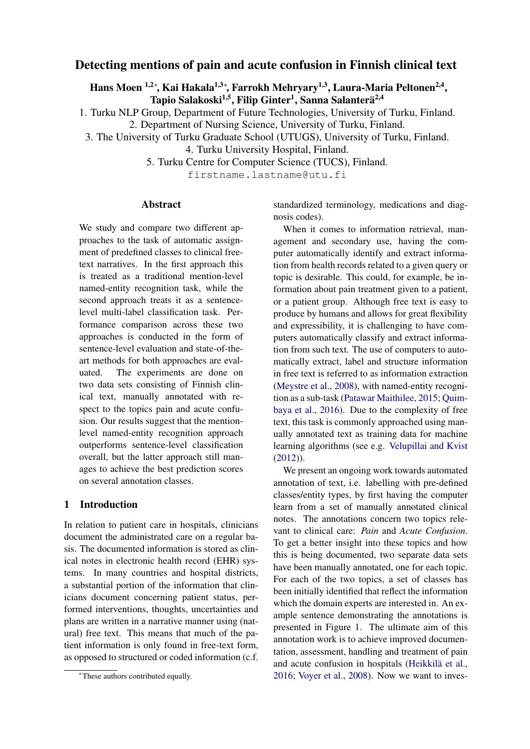# Detecting mentions of pain and acute confusion in Finnish clinical text

Hans Moen <sup>1,2</sup>\*, Kai Hakala<sup>1,3</sup>\*, Farrokh Mehryary<sup>1,3</sup>, Laura-Maria Peltonen<sup>2,4</sup>, Tapio Salakoski<sup>1,5</sup>, Filip Ginter<sup>1</sup>, Sanna Salanterä<sup>2,4</sup>

1. Turku NLP Group, Department of Future Technologies, University of Turku, Finland.

2. Department of Nursing Science, University of Turku, Finland.

3. The University of Turku Graduate School (UTUGS), University of Turku, Finland.

4. Turku University Hospital, Finland.

5. Turku Centre for Computer Science (TUCS), Finland.

firstname.lastname@utu.fi

### Abstract

We study and compare two different approaches to the task of automatic assignment of predefined classes to clinical freetext narratives. In the first approach this is treated as a traditional mention-level named-entity recognition task, while the second approach treats it as a sentencelevel multi-label classification task. Performance comparison across these two approaches is conducted in the form of sentence-level evaluation and state-of-theart methods for both approaches are evaluated. The experiments are done on two data sets consisting of Finnish clinical text, manually annotated with respect to the topics pain and acute confusion. Our results suggest that the mentionlevel named-entity recognition approach outperforms sentence-level classification overall, but the latter approach still manages to achieve the best prediction scores on several annotation classes.

### 1 Introduction

In relation to patient care in hospitals, clinicians document the administrated care on a regular basis. The documented information is stored as clinical notes in electronic health record (EHR) systems. In many countries and hospital districts, a substantial portion of the information that clinicians document concerning patient status, performed interventions, thoughts, uncertainties and plans are written in a narrative manner using (natural) free text. This means that much of the patient information is only found in free-text form, as opposed to structured or coded information (c.f. standardized terminology, medications and diagnosis codes).

When it comes to information retrieval, management and secondary use, having the computer automatically identify and extract information from health records related to a given query or topic is desirable. This could, for example, be information about pain treatment given to a patient, or a patient group. Although free text is easy to produce by humans and allows for great flexibility and expressibility, it is challenging to have computers automatically classify and extract information from such text. The use of computers to automatically extract, label and structure information in free text is referred to as information extraction [\(Meystre et al.,](#page-4-0) [2008\)](#page-4-0), with named-entity recognition as a sub-task [\(Patawar Maithilee,](#page-5-0) [2015;](#page-5-0) [Quim](#page-5-1)[baya et al.,](#page-5-1) [2016\)](#page-5-1). Due to the complexity of free text, this task is commonly approached using manually annotated text as training data for machine learning algorithms (see e.g. [Velupillai and Kvist](#page-5-2) [\(2012\)](#page-5-2)).

We present an ongoing work towards automated annotation of text, i.e. labelling with pre-defined classes/entity types, by first having the computer learn from a set of manually annotated clinical notes. The annotations concern two topics relevant to clinical care: *Pain* and *Acute Confusion*. To get a better insight into these topics and how this is being documented, two separate data sets have been manually annotated, one for each topic. For each of the two topics, a set of classes has been initially identified that reflect the information which the domain experts are interested in. An example sentence demonstrating the annotations is presented in Figure [1.](#page-2-0) The ultimate aim of this annotation work is to achieve improved documentation, assessment, handling and treatment of pain and acute confusion in hospitals (Heikkilä et al., [2016;](#page-4-1) [Voyer et al.,](#page-5-3) [2008\)](#page-5-3). Now we want to inves-

<sup>∗</sup>These authors contributed equally.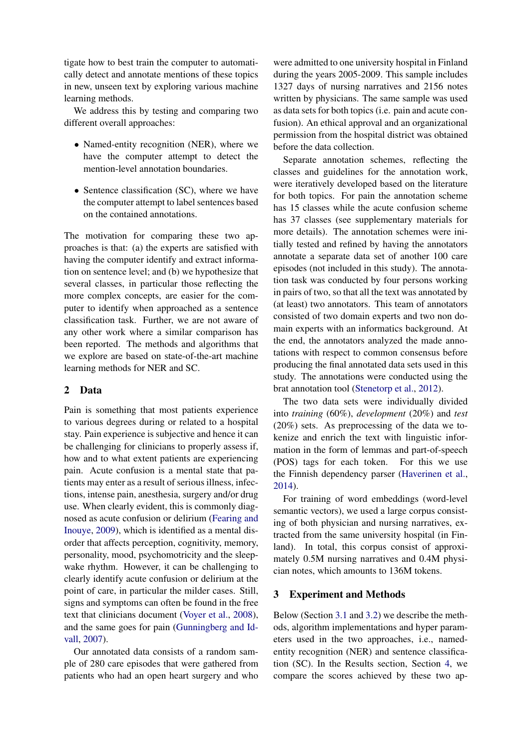tigate how to best train the computer to automatically detect and annotate mentions of these topics in new, unseen text by exploring various machine learning methods.

We address this by testing and comparing two different overall approaches:

- Named-entity recognition (NER), where we have the computer attempt to detect the mention-level annotation boundaries.
- Sentence classification (SC), where we have the computer attempt to label sentences based on the contained annotations.

The motivation for comparing these two approaches is that: (a) the experts are satisfied with having the computer identify and extract information on sentence level; and (b) we hypothesize that several classes, in particular those reflecting the more complex concepts, are easier for the computer to identify when approached as a sentence classification task. Further, we are not aware of any other work where a similar comparison has been reported. The methods and algorithms that we explore are based on state-of-the-art machine learning methods for NER and SC.

### 2 Data

Pain is something that most patients experience to various degrees during or related to a hospital stay. Pain experience is subjective and hence it can be challenging for clinicians to properly assess if, how and to what extent patients are experiencing pain. Acute confusion is a mental state that patients may enter as a result of serious illness, infections, intense pain, anesthesia, surgery and/or drug use. When clearly evident, this is commonly diagnosed as acute confusion or delirium [\(Fearing and](#page-4-2) [Inouye,](#page-4-2) [2009\)](#page-4-2), which is identified as a mental disorder that affects perception, cognitivity, memory, personality, mood, psychomotricity and the sleepwake rhythm. However, it can be challenging to clearly identify acute confusion or delirium at the point of care, in particular the milder cases. Still, signs and symptoms can often be found in the free text that clinicians document [\(Voyer et al.,](#page-5-3) [2008\)](#page-5-3), and the same goes for pain [\(Gunningberg and Id](#page-4-3)[vall,](#page-4-3) [2007\)](#page-4-3).

Our annotated data consists of a random sample of 280 care episodes that were gathered from patients who had an open heart surgery and who were admitted to one university hospital in Finland during the years 2005-2009. This sample includes 1327 days of nursing narratives and 2156 notes written by physicians. The same sample was used as data sets for both topics (i.e. pain and acute confusion). An ethical approval and an organizational permission from the hospital district was obtained before the data collection.

Separate annotation schemes, reflecting the classes and guidelines for the annotation work, were iteratively developed based on the literature for both topics. For pain the annotation scheme has 15 classes while the acute confusion scheme has 37 classes (see supplementary materials for more details). The annotation schemes were initially tested and refined by having the annotators annotate a separate data set of another 100 care episodes (not included in this study). The annotation task was conducted by four persons working in pairs of two, so that all the text was annotated by (at least) two annotators. This team of annotators consisted of two domain experts and two non domain experts with an informatics background. At the end, the annotators analyzed the made annotations with respect to common consensus before producing the final annotated data sets used in this study. The annotations were conducted using the brat annotation tool [\(Stenetorp et al.,](#page-5-4) [2012\)](#page-5-4).

The two data sets were individually divided into *training* (60%), *development* (20%) and *test* (20%) sets. As preprocessing of the data we tokenize and enrich the text with linguistic information in the form of lemmas and part-of-speech (POS) tags for each token. For this we use the Finnish dependency parser [\(Haverinen et al.,](#page-4-4) [2014\)](#page-4-4).

For training of word embeddings (word-level semantic vectors), we used a large corpus consisting of both physician and nursing narratives, extracted from the same university hospital (in Finland). In total, this corpus consist of approximately 0.5M nursing narratives and 0.4M physician notes, which amounts to 136M tokens.

#### 3 Experiment and Methods

Below (Section [3.1](#page-2-1) and [3.2\)](#page-2-2) we describe the methods, algorithm implementations and hyper parameters used in the two approaches, i.e., namedentity recognition (NER) and sentence classification (SC). In the Results section, Section [4,](#page-3-0) we compare the scores achieved by these two ap-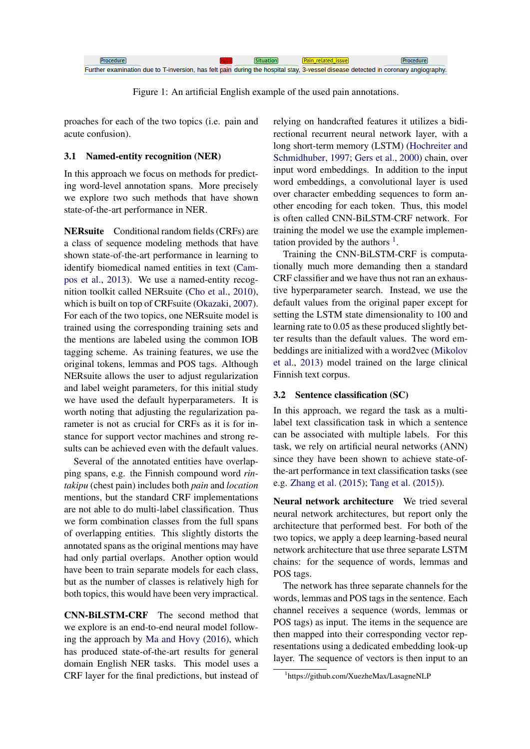| Further examination due to T-inversion, has felt pain during the hospital stay, 3-vessel disease detected in coronary angiography, |  |  |
|------------------------------------------------------------------------------------------------------------------------------------|--|--|

<span id="page-2-0"></span>Figure 1: An artificial English example of the used pain annotations.

proaches for each of the two topics (i.e. pain and acute confusion).

#### <span id="page-2-1"></span>3.1 Named-entity recognition (NER)

In this approach we focus on methods for predicting word-level annotation spans. More precisely we explore two such methods that have shown state-of-the-art performance in NER.

NERsuite Conditional random fields (CRFs) are a class of sequence modeling methods that have shown state-of-the-art performance in learning to identify biomedical named entities in text [\(Cam](#page-4-5)[pos et al.,](#page-4-5) [2013\)](#page-4-5). We use a named-entity recognition toolkit called NERsuite [\(Cho et al.,](#page-4-6) [2010\)](#page-4-6), which is built on top of CRFsuite [\(Okazaki,](#page-5-5) [2007\)](#page-5-5). For each of the two topics, one NERsuite model is trained using the corresponding training sets and the mentions are labeled using the common IOB tagging scheme. As training features, we use the original tokens, lemmas and POS tags. Although NERsuite allows the user to adjust regularization and label weight parameters, for this initial study we have used the default hyperparameters. It is worth noting that adjusting the regularization parameter is not as crucial for CRFs as it is for instance for support vector machines and strong results can be achieved even with the default values.

Several of the annotated entities have overlapping spans, e.g. the Finnish compound word *rintakipu* (chest pain) includes both *pain* and *location* mentions, but the standard CRF implementations are not able to do multi-label classification. Thus we form combination classes from the full spans of overlapping entities. This slightly distorts the annotated spans as the original mentions may have had only partial overlaps. Another option would have been to train separate models for each class, but as the number of classes is relatively high for both topics, this would have been very impractical.

CNN-BiLSTM-CRF The second method that we explore is an end-to-end neural model following the approach by [Ma and Hovy](#page-4-7) [\(2016\)](#page-4-7), which has produced state-of-the-art results for general domain English NER tasks. This model uses a CRF layer for the final predictions, but instead of relying on handcrafted features it utilizes a bidirectional recurrent neural network layer, with a long short-term memory (LSTM) [\(Hochreiter and](#page-4-8) [Schmidhuber,](#page-4-8) [1997;](#page-4-8) [Gers et al.,](#page-4-9) [2000\)](#page-4-9) chain, over input word embeddings. In addition to the input word embeddings, a convolutional layer is used over character embedding sequences to form another encoding for each token. Thus, this model is often called CNN-BiLSTM-CRF network. For training the model we use the example implementation provided by the authors  $<sup>1</sup>$  $<sup>1</sup>$  $<sup>1</sup>$ .</sup>

Training the CNN-BiLSTM-CRF is computationally much more demanding then a standard CRF classifier and we have thus not ran an exhaustive hyperparameter search. Instead, we use the default values from the original paper except for setting the LSTM state dimensionality to 100 and learning rate to 0.05 as these produced slightly better results than the default values. The word embeddings are initialized with a word2vec [\(Mikolov](#page-5-6) [et al.,](#page-5-6) [2013\)](#page-5-6) model trained on the large clinical Finnish text corpus.

### <span id="page-2-2"></span>3.2 Sentence classification (SC)

In this approach, we regard the task as a multilabel text classification task in which a sentence can be associated with multiple labels. For this task, we rely on artificial neural networks (ANN) since they have been shown to achieve state-ofthe-art performance in text classification tasks (see e.g. [Zhang et al.](#page-5-7) [\(2015\)](#page-5-7); [Tang et al.](#page-5-8) [\(2015\)](#page-5-8)).

Neural network architecture We tried several neural network architectures, but report only the architecture that performed best. For both of the two topics, we apply a deep learning-based neural network architecture that use three separate LSTM chains: for the sequence of words, lemmas and POS tags.

The network has three separate channels for the words, lemmas and POS tags in the sentence. Each channel receives a sequence (words, lemmas or POS tags) as input. The items in the sequence are then mapped into their corresponding vector representations using a dedicated embedding look-up layer. The sequence of vectors is then input to an

<span id="page-2-3"></span><sup>1</sup> https://github.com/XuezheMax/LasagneNLP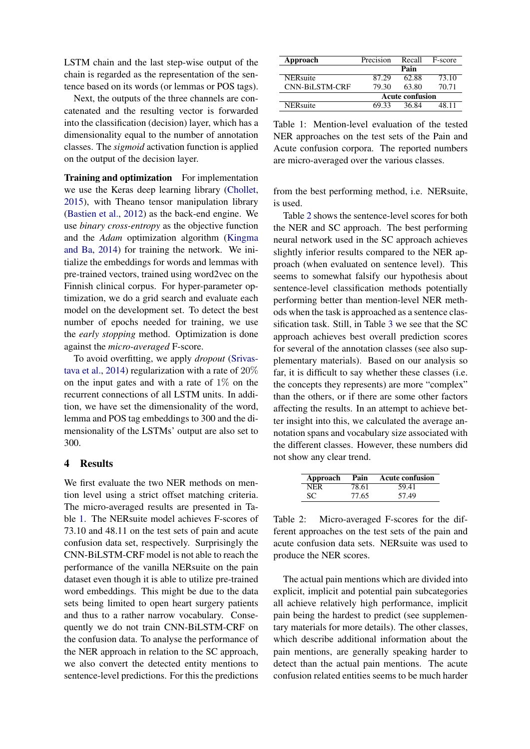LSTM chain and the last step-wise output of the chain is regarded as the representation of the sentence based on its words (or lemmas or POS tags).

Next, the outputs of the three channels are concatenated and the resulting vector is forwarded into the classification (decision) layer, which has a dimensionality equal to the number of annotation classes. The *sigmoid* activation function is applied on the output of the decision layer.

Training and optimization For implementation we use the Keras deep learning library [\(Chollet,](#page-4-10) [2015\)](#page-4-10), with Theano tensor manipulation library [\(Bastien et al.,](#page-4-11) [2012\)](#page-4-11) as the back-end engine. We use *binary cross-entropy* as the objective function and the *Adam* optimization algorithm [\(Kingma](#page-4-12) [and Ba,](#page-4-12) [2014\)](#page-4-12) for training the network. We initialize the embeddings for words and lemmas with pre-trained vectors, trained using word2vec on the Finnish clinical corpus. For hyper-parameter optimization, we do a grid search and evaluate each model on the development set. To detect the best number of epochs needed for training, we use the *early stopping* method. Optimization is done against the *micro-averaged* F-score.

To avoid overfitting, we apply *dropout* [\(Srivas](#page-5-9)[tava et al.,](#page-5-9) [2014\)](#page-5-9) regularization with a rate of 20% on the input gates and with a rate of  $1\%$  on the recurrent connections of all LSTM units. In addition, we have set the dimensionality of the word, lemma and POS tag embeddings to 300 and the dimensionality of the LSTMs' output are also set to 300.

#### <span id="page-3-0"></span>4 Results

We first evaluate the two NER methods on mention level using a strict offset matching criteria. The micro-averaged results are presented in Table [1.](#page-3-1) The NERsuite model achieves F-scores of 73.10 and 48.11 on the test sets of pain and acute confusion data set, respectively. Surprisingly the CNN-BiLSTM-CRF model is not able to reach the performance of the vanilla NERsuite on the pain dataset even though it is able to utilize pre-trained word embeddings. This might be due to the data sets being limited to open heart surgery patients and thus to a rather narrow vocabulary. Consequently we do not train CNN-BiLSTM-CRF on the confusion data. To analyse the performance of the NER approach in relation to the SC approach, we also convert the detected entity mentions to sentence-level predictions. For this the predictions

| Approach         | Precision              | Recall | F-score |  |
|------------------|------------------------|--------|---------|--|
|                  |                        | Pain   |         |  |
| <b>NER</b> suite | 87.29                  | 62.88  | 73.10   |  |
| CNN-BiLSTM-CRF   | 79.30                  | 63.80  | 70.71   |  |
|                  | <b>Acute confusion</b> |        |         |  |
| <b>NER</b> suite | 69.33                  | 36.84  | 48 11   |  |

<span id="page-3-1"></span>Table 1: Mention-level evaluation of the tested NER approaches on the test sets of the Pain and Acute confusion corpora. The reported numbers are micro-averaged over the various classes.

from the best performing method, i.e. NERsuite, is used.

Table [2](#page-3-2) shows the sentence-level scores for both the NER and SC approach. The best performing neural network used in the SC approach achieves slightly inferior results compared to the NER approach (when evaluated on sentence level). This seems to somewhat falsify our hypothesis about sentence-level classification methods potentially performing better than mention-level NER methods when the task is approached as a sentence classification task. Still, in Table [3](#page-4-13) we see that the SC approach achieves best overall prediction scores for several of the annotation classes (see also supplementary materials). Based on our analysis so far, it is difficult to say whether these classes (i.e. the concepts they represents) are more "complex" than the others, or if there are some other factors affecting the results. In an attempt to achieve better insight into this, we calculated the average annotation spans and vocabulary size associated with the different classes. However, these numbers did not show any clear trend.

| Approach | Pain  | <b>Acute confusion</b> |
|----------|-------|------------------------|
| NER      | 78.61 | 59.41                  |
| SС       | 77.65 | 57.49                  |

<span id="page-3-2"></span>Table 2: Micro-averaged F-scores for the different approaches on the test sets of the pain and acute confusion data sets. NERsuite was used to produce the NER scores.

The actual pain mentions which are divided into explicit, implicit and potential pain subcategories all achieve relatively high performance, implicit pain being the hardest to predict (see supplementary materials for more details). The other classes, which describe additional information about the pain mentions, are generally speaking harder to detect than the actual pain mentions. The acute confusion related entities seems to be much harder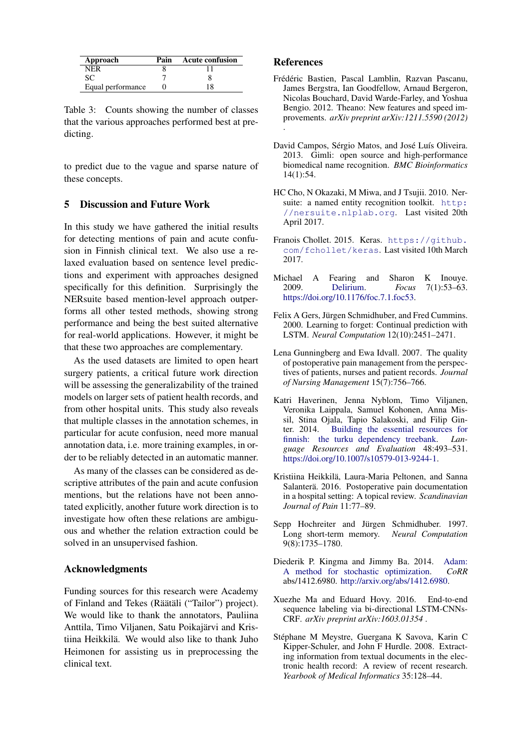| Approach          | Pain | <b>Acute confusion</b> |
|-------------------|------|------------------------|
| NER               |      |                        |
| SС                |      |                        |
| Equal performance |      | 18                     |

<span id="page-4-13"></span>Table 3: Counts showing the number of classes that the various approaches performed best at predicting.

to predict due to the vague and sparse nature of these concepts.

### 5 Discussion and Future Work

In this study we have gathered the initial results for detecting mentions of pain and acute confusion in Finnish clinical text. We also use a relaxed evaluation based on sentence level predictions and experiment with approaches designed specifically for this definition. Surprisingly the NERsuite based mention-level approach outperforms all other tested methods, showing strong performance and being the best suited alternative for real-world applications. However, it might be that these two approaches are complementary.

As the used datasets are limited to open heart surgery patients, a critical future work direction will be assessing the generalizability of the trained models on larger sets of patient health records, and from other hospital units. This study also reveals that multiple classes in the annotation schemes, in particular for acute confusion, need more manual annotation data, i.e. more training examples, in order to be reliably detected in an automatic manner.

As many of the classes can be considered as descriptive attributes of the pain and acute confusion mentions, but the relations have not been annotated explicitly, another future work direction is to investigate how often these relations are ambiguous and whether the relation extraction could be solved in an unsupervised fashion.

#### Acknowledgments

Funding sources for this research were Academy of Finland and Tekes (Räätäli ("Tailor") project). We would like to thank the annotators, Pauliina Anttila, Timo Viljanen, Satu Poikajarvi and Kris- ¨ tiina Heikkila. We would also like to thank Juho ¨ Heimonen for assisting us in preprocessing the clinical text.

#### References

- <span id="page-4-11"></span>Frédéric Bastien, Pascal Lamblin, Razvan Pascanu, James Bergstra, Ian Goodfellow, Arnaud Bergeron, Nicolas Bouchard, David Warde-Farley, and Yoshua Bengio. 2012. Theano: New features and speed improvements. *arXiv preprint arXiv:1211.5590 (2012)* .
- <span id="page-4-5"></span>David Campos, Sérgio Matos, and José Luís Oliveira. 2013. Gimli: open source and high-performance biomedical name recognition. *BMC Bioinformatics* 14(1):54.
- <span id="page-4-6"></span>HC Cho, N Okazaki, M Miwa, and J Tsujii. 2010. Nersuite: a named entity recognition toolkit. [http:](http://nersuite.nlplab.org) [//nersuite.nlplab.org](http://nersuite.nlplab.org). Last visited 20th April 2017.
- <span id="page-4-10"></span>Franois Chollet. 2015. Keras. [https://github.](https://github.com/fchollet/keras) [com/fchollet/keras](https://github.com/fchollet/keras). Last visited 10th March 2017.
- <span id="page-4-2"></span>Michael A Fearing and Sharon K Inouye.<br>2009. Delirium. Focus 7(1):53–63. 2009. [Delirium.](https://doi.org/10.1176/foc.7.1.foc53) *Focus* 7(1):53–63. [https://doi.org/10.1176/foc.7.1.foc53.](https://doi.org/10.1176/foc.7.1.foc53)
- <span id="page-4-9"></span>Felix A Gers, Jürgen Schmidhuber, and Fred Cummins. 2000. Learning to forget: Continual prediction with LSTM. *Neural Computation* 12(10):2451–2471.
- <span id="page-4-3"></span>Lena Gunningberg and Ewa Idvall. 2007. The quality of postoperative pain management from the perspectives of patients, nurses and patient records. *Journal of Nursing Management* 15(7):756–766.
- <span id="page-4-4"></span>Katri Haverinen, Jenna Nyblom, Timo Viljanen, Veronika Laippala, Samuel Kohonen, Anna Missil, Stina Ojala, Tapio Salakoski, and Filip Ginter. 2014. [Building the essential resources for](https://doi.org/10.1007/s10579-013-9244-1) [finnish: the turku dependency treebank.](https://doi.org/10.1007/s10579-013-9244-1) *Language Resources and Evaluation* 48:493–531. [https://doi.org/10.1007/s10579-013-9244-1.](https://doi.org/10.1007/s10579-013-9244-1)
- <span id="page-4-1"></span>Kristiina Heikkilä, Laura-Maria Peltonen, and Sanna Salanterä. 2016. Postoperative pain documentation in a hospital setting: A topical review. *Scandinavian Journal of Pain* 11:77–89.
- <span id="page-4-8"></span>Sepp Hochreiter and Jürgen Schmidhuber. 1997. Long short-term memory. *Neural Computation* 9(8):1735–1780.
- <span id="page-4-12"></span>Diederik P. Kingma and Jimmy Ba. 2014. [Adam:](http://arxiv.org/abs/1412.6980) [A method for stochastic optimization.](http://arxiv.org/abs/1412.6980) *CoRR* abs/1412.6980. [http://arxiv.org/abs/1412.6980.](http://arxiv.org/abs/1412.6980)
- <span id="page-4-7"></span>Xuezhe Ma and Eduard Hovy. 2016. End-to-end sequence labeling via bi-directional LSTM-CNNs-CRF. *arXiv preprint arXiv:1603.01354* .
- <span id="page-4-0"></span>Stéphane M Meystre, Guergana K Savova, Karin C Kipper-Schuler, and John F Hurdle. 2008. Extracting information from textual documents in the electronic health record: A review of recent research. *Yearbook of Medical Informatics* 35:128–44.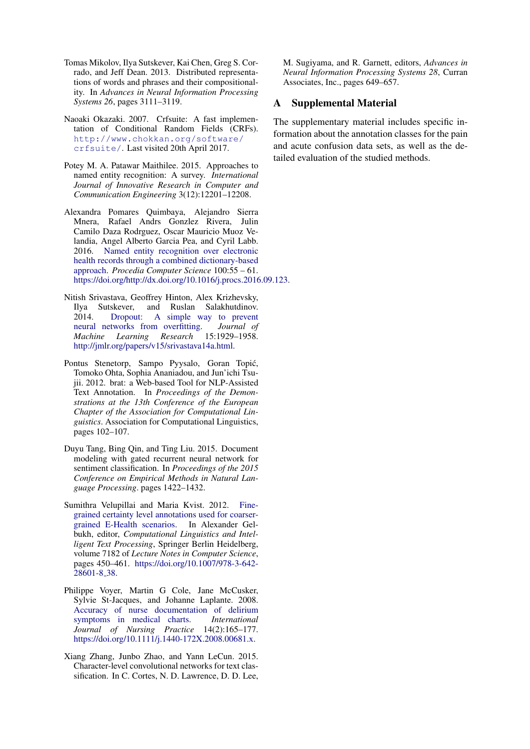- <span id="page-5-6"></span>Tomas Mikolov, Ilya Sutskever, Kai Chen, Greg S. Corrado, and Jeff Dean. 2013. Distributed representations of words and phrases and their compositionality. In *Advances in Neural Information Processing Systems 26*, pages 3111–3119.
- <span id="page-5-5"></span>Naoaki Okazaki. 2007. Crfsuite: A fast implementation of Conditional Random Fields (CRFs). [http://www.chokkan.org/software/](http://www.chokkan.org/software/crfsuite/) [crfsuite/](http://www.chokkan.org/software/crfsuite/). Last visited 20th April 2017.
- <span id="page-5-0"></span>Potey M. A. Patawar Maithilee. 2015. Approaches to named entity recognition: A survey. *International Journal of Innovative Research in Computer and Communication Engineering* 3(12):12201–12208.
- <span id="page-5-1"></span>Alexandra Pomares Quimbaya, Alejandro Sierra Mnera, Rafael Andrs Gonzlez Rivera, Julin Camilo Daza Rodrguez, Oscar Mauricio Muoz Velandia, Angel Alberto Garcia Pea, and Cyril Labb. 2016. [Named entity recognition over electronic](https://doi.org/http://dx.doi.org/10.1016/j.procs.2016.09.123) [health records through a combined dictionary-based](https://doi.org/http://dx.doi.org/10.1016/j.procs.2016.09.123) [approach.](https://doi.org/http://dx.doi.org/10.1016/j.procs.2016.09.123) *Procedia Computer Science* 100:55 – 61. [https://doi.org/http://dx.doi.org/10.1016/j.procs.2016.09.123.](https://doi.org/http://dx.doi.org/10.1016/j.procs.2016.09.123)
- <span id="page-5-9"></span>Nitish Srivastava, Geoffrey Hinton, Alex Krizhevsky, Ilya Sutskever, and Ruslan Salakhutdinov. [Dropout: A simple way to prevent](http://jmlr.org/papers/v15/srivastava14a.html) [neural networks from overfitting.](http://jmlr.org/papers/v15/srivastava14a.html) *Journal of Machine Learning Research* 15:1929–1958. [http://jmlr.org/papers/v15/srivastava14a.html.](http://jmlr.org/papers/v15/srivastava14a.html)
- <span id="page-5-4"></span>Pontus Stenetorp, Sampo Pyysalo, Goran Topić, Tomoko Ohta, Sophia Ananiadou, and Jun'ichi Tsujii. 2012. brat: a Web-based Tool for NLP-Assisted Text Annotation. In *Proceedings of the Demonstrations at the 13th Conference of the European Chapter of the Association for Computational Linguistics*. Association for Computational Linguistics, pages 102–107.
- <span id="page-5-8"></span>Duyu Tang, Bing Qin, and Ting Liu. 2015. Document modeling with gated recurrent neural network for sentiment classification. In *Proceedings of the 2015 Conference on Empirical Methods in Natural Language Processing*. pages 1422–1432.
- <span id="page-5-2"></span>Sumithra Velupillai and Maria Kvist. 2012. [Fine](https://doi.org/10.1007/978-3-642-28601-8_38)[grained certainty level annotations used for coarser](https://doi.org/10.1007/978-3-642-28601-8_38)[grained E-Health scenarios.](https://doi.org/10.1007/978-3-642-28601-8_38) In Alexander Gelbukh, editor, *Computational Linguistics and Intelligent Text Processing*, Springer Berlin Heidelberg, volume 7182 of *Lecture Notes in Computer Science*, pages 450–461. [https://doi.org/10.1007/978-3-642-](https://doi.org/10.1007/978-3-642-28601-8_38) [28601-8](https://doi.org/10.1007/978-3-642-28601-8_38) 38.
- <span id="page-5-3"></span>Philippe Voyer, Martin G Cole, Jane McCusker, Sylvie St-Jacques, and Johanne Laplante. 2008. [Accuracy of nurse documentation of delirium](https://doi.org/10.1111/j.1440-172X.2008.00681.x)<br>symptoms in medical charts. *International* [symptoms in medical charts.](https://doi.org/10.1111/j.1440-172X.2008.00681.x) *Journal of Nursing Practice* 14(2):165–177. [https://doi.org/10.1111/j.1440-172X.2008.00681.x.](https://doi.org/10.1111/j.1440-172X.2008.00681.x)
- <span id="page-5-7"></span>Xiang Zhang, Junbo Zhao, and Yann LeCun. 2015. Character-level convolutional networks for text classification. In C. Cortes, N. D. Lawrence, D. D. Lee,

M. Sugiyama, and R. Garnett, editors, *Advances in Neural Information Processing Systems 28*, Curran Associates, Inc., pages 649–657.

## A Supplemental Material

The supplementary material includes specific information about the annotation classes for the pain and acute confusion data sets, as well as the detailed evaluation of the studied methods.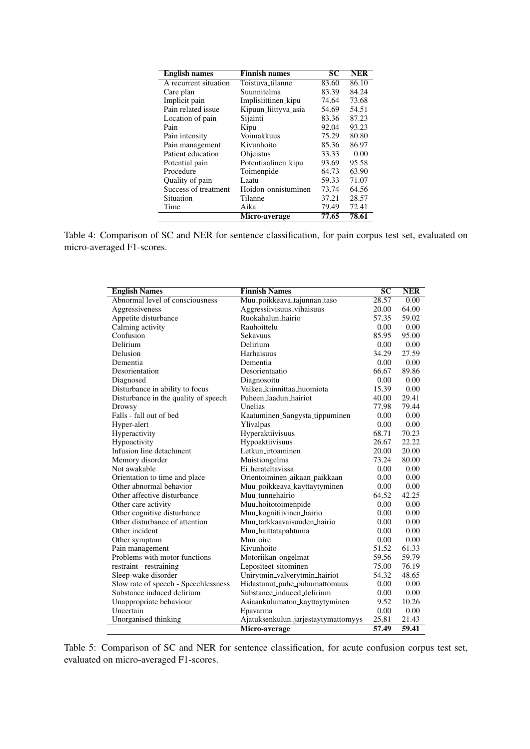| <b>English names</b>  | <b>Finnish names</b> | $\overline{\text{SC}}$ | <b>NER</b> |
|-----------------------|----------------------|------------------------|------------|
| A recurrent situation | Toistuva_tilanne     | 83.60                  | 86.10      |
| Care plan             | Suunnitelma          | 83.39                  | 84.24      |
| Implicit pain         | Implisiittinen_kipu  | 74.64                  | 73.68      |
| Pain related issue    | Kipuun_liittyva_asia | 54.69                  | 54.51      |
| Location of pain      | Sijainti             | 83.36                  | 87.23      |
| Pain                  | Kipu                 | 92.04                  | 93.23      |
| Pain intensity        | Voimakkuus           | 75.29                  | 80.80      |
| Pain management       | Kivunhoito           | 85.36                  | 86.97      |
| Patient education     | Ohjeistus            | 33.33                  | 0.00       |
| Potential pain        | Potentiaalinen_kipu  | 93.69                  | 95.58      |
| Procedure             | Toimenpide           | 64.73                  | 63.90      |
| Quality of pain       | Laatu                | 59.33                  | 71.07      |
| Success of treatment  | Hoidon_onnistuminen  | 73.74                  | 64.56      |
| Situation             | Tilanne              | 37.21                  | 28.57      |
| Time                  | Aika                 | 79.49                  | 72.41      |
|                       | Micro-average        | 77.65                  | 78.61      |

Table 4: Comparison of SC and NER for sentence classification, for pain corpus test set, evaluated on micro-averaged F1-scores.

| <b>English Names</b>                 | <b>Finnish Names</b>                | $\overline{\text{SC}}$ | <b>NER</b> |
|--------------------------------------|-------------------------------------|------------------------|------------|
| Abnormal level of consciousness      | Muu_poikkeava_tajunnan_taso         | 28.57                  | 0.00       |
| Aggressiveness                       | Aggressiivisuus_vihaisuus           | 20.00                  | 64.00      |
| Appetite disturbance                 | Ruokahalun_hairio                   | 57.35                  | 59.02      |
| Calming activity                     | Rauhoittelu                         | 0.00                   | 0.00       |
| Confusion                            | Sekavuus                            | 85.95                  | 95.00      |
| Delirium                             | Delirium                            | 0.00                   | 0.00       |
| Delusion                             | Harhaisuus                          | 34.29                  | 27.59      |
| Dementia                             | Dementia                            | 0.00                   | 0.00       |
| Desorientation                       | Desorientaatio                      | 66.67                  | 89.86      |
| Diagnosed                            | Diagnosoitu                         | 0.00                   | 0.00       |
| Disturbance in ability to focus      | Vaikea_kiinnittaa_huomiota          | 15.39                  | 0.00       |
| Disturbance in the quality of speech | Puheen_laadun_hairiot               | 40.00                  | 29.41      |
| Drowsy                               | Unelias                             | 77.98                  | 79.44      |
| Falls - fall out of bed              | Kaatuminen_Sangysta_tippuminen      | 0.00                   | 0.00       |
| Hyper-alert                          | Ylivalpas                           | 0.00                   | 0.00       |
| Hyperactivity                        | Hyperaktiivisuus                    | 68.71                  | 70.23      |
| Hypoactivity                         | Hypoaktiivisuus                     | 26.67                  | 22.22      |
| Infusion line detachment             | Letkun_irtoaminen                   | 20.00                  | 20.00      |
| Memory disorder                      | Muistiongelma                       | 73.24                  | 80.00      |
| Not awakable                         | Ei_herateltavissa                   | 0.00                   | 0.00       |
| Orientation to time and place        | Orientoiminen_aikaan_paikkaan       | 0.00                   | 0.00       |
| Other abnormal behavior              | Muu_poikkeava_kayttaytyminen        | 0.00                   | 0.00       |
| Other affective disturbance          | Muu_tunnehairio                     | 64.52                  | 42.25      |
| Other care activity                  | Muu_hoitotoimenpide                 | 0.00                   | 0.00       |
| Other cognitive disturbance          | Muu_kognitiivinen_hairio            | 0.00                   | 0.00       |
| Other disturbance of attention       | Muu_tarkkaavaisuuden_hairio         | 0.00                   | 0.00       |
| Other incident                       | Muu_haittatapahtuma                 | 0.00                   | 0.00       |
| Other symptom                        | Muu_oire                            | 0.00                   | 0.00       |
| Pain management                      | Kivunhoito                          | 51.52                  | 61.33      |
| Problems with motor functions        | Motoriikan_ongelmat                 | 59.56                  | 59.79      |
| restraint - restraining              | Lepositeet_sitominen                | 75.00                  | 76.19      |
| Sleep-wake disorder                  | Unirytmin_valverytmin_hairiot       | 54.32                  | 48.65      |
| Slow rate of speech - Speechlessness | Hidastunut_puhe_puhumattomuus       | 0.00                   | 0.00       |
| Substance induced delirium           | Substance_induced_delirium          | 0.00                   | 0.00       |
| Unappropriate behaviour              | Asiaankulumaton_kayttaytyminen      | 9.52                   | 10.26      |
| Uncertain                            | Epavarma                            | 0.00                   | 0.00       |
| Unorganised thinking                 | Ajatuksenkulun_jarjestaytymattomyys | 25.81                  | 21.43      |
|                                      | Micro-average                       | 57.49                  | 59.41      |

Table 5: Comparison of SC and NER for sentence classification, for acute confusion corpus test set, evaluated on micro-averaged F1-scores.